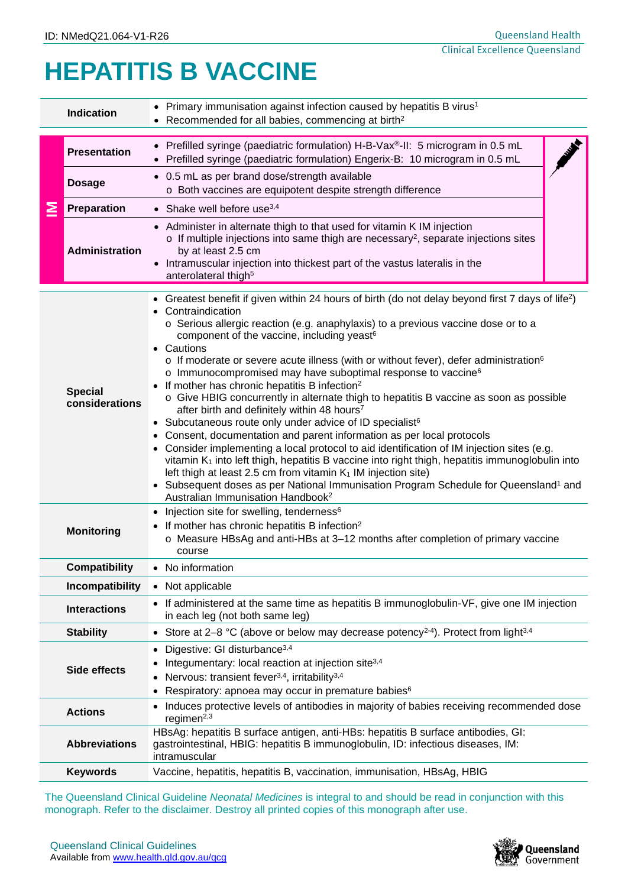## **HEPATITIS B VACCINE**

|                      | <b>Indication</b>                | • Primary immunisation against infection caused by hepatitis B virus <sup>1</sup><br>• Recommended for all babies, commencing at birth <sup>2</sup>                                                                                                                                                                                                                                                                                                                                                                                                                                                                                                                                                                                                                                                                                                                                                                                                                                                                                                                                                                                                                                                                                                                                             |  |  |  |  |
|----------------------|----------------------------------|-------------------------------------------------------------------------------------------------------------------------------------------------------------------------------------------------------------------------------------------------------------------------------------------------------------------------------------------------------------------------------------------------------------------------------------------------------------------------------------------------------------------------------------------------------------------------------------------------------------------------------------------------------------------------------------------------------------------------------------------------------------------------------------------------------------------------------------------------------------------------------------------------------------------------------------------------------------------------------------------------------------------------------------------------------------------------------------------------------------------------------------------------------------------------------------------------------------------------------------------------------------------------------------------------|--|--|--|--|
|                      | <b>Presentation</b>              | • Prefilled syringe (paediatric formulation) H-B-Vax®-II: 5 microgram in 0.5 mL<br>Prefilled syringe (paediatric formulation) Engerix-B: 10 microgram in 0.5 mL                                                                                                                                                                                                                                                                                                                                                                                                                                                                                                                                                                                                                                                                                                                                                                                                                                                                                                                                                                                                                                                                                                                                 |  |  |  |  |
|                      | <b>Dosage</b>                    | • 0.5 mL as per brand dose/strength available<br>o Both vaccines are equipotent despite strength difference                                                                                                                                                                                                                                                                                                                                                                                                                                                                                                                                                                                                                                                                                                                                                                                                                                                                                                                                                                                                                                                                                                                                                                                     |  |  |  |  |
|                      | Preparation                      | • Shake well before use $3,4$                                                                                                                                                                                                                                                                                                                                                                                                                                                                                                                                                                                                                                                                                                                                                                                                                                                                                                                                                                                                                                                                                                                                                                                                                                                                   |  |  |  |  |
|                      | <b>Administration</b>            | • Administer in alternate thigh to that used for vitamin K IM injection<br>o If multiple injections into same thigh are necessary <sup>2</sup> , separate injections sites<br>by at least 2.5 cm<br>• Intramuscular injection into thickest part of the vastus lateralis in the<br>anterolateral thigh <sup>5</sup>                                                                                                                                                                                                                                                                                                                                                                                                                                                                                                                                                                                                                                                                                                                                                                                                                                                                                                                                                                             |  |  |  |  |
|                      | <b>Special</b><br>considerations | • Greatest benefit if given within 24 hours of birth (do not delay beyond first 7 days of life <sup>2</sup> )<br>Contraindication<br>o Serious allergic reaction (e.g. anaphylaxis) to a previous vaccine dose or to a<br>component of the vaccine, including yeast <sup>6</sup><br>• Cautions<br>$\circ$ If moderate or severe acute illness (with or without fever), defer administration <sup>6</sup><br>o Immunocompromised may have suboptimal response to vaccine <sup>6</sup><br>• If mother has chronic hepatitis B infection <sup>2</sup><br>o Give HBIG concurrently in alternate thigh to hepatitis B vaccine as soon as possible<br>after birth and definitely within 48 hours <sup>7</sup><br>• Subcutaneous route only under advice of ID specialist <sup>6</sup><br>• Consent, documentation and parent information as per local protocols<br>• Consider implementing a local protocol to aid identification of IM injection sites (e.g.<br>vitamin K <sub>1</sub> into left thigh, hepatitis B vaccine into right thigh, hepatitis immunoglobulin into<br>left thigh at least 2.5 cm from vitamin $K_1$ IM injection site)<br>• Subsequent doses as per National Immunisation Program Schedule for Queensland <sup>1</sup> and<br>Australian Immunisation Handbook <sup>2</sup> |  |  |  |  |
|                      | <b>Monitoring</b>                | • Injection site for swelling, tenderness <sup>6</sup><br>If mother has chronic hepatitis B infection <sup>2</sup><br>$\circ$ Measure HBsAg and anti-HBs at 3–12 months after completion of primary vaccine<br>course                                                                                                                                                                                                                                                                                                                                                                                                                                                                                                                                                                                                                                                                                                                                                                                                                                                                                                                                                                                                                                                                           |  |  |  |  |
|                      | <b>Compatibility</b>             | • No information                                                                                                                                                                                                                                                                                                                                                                                                                                                                                                                                                                                                                                                                                                                                                                                                                                                                                                                                                                                                                                                                                                                                                                                                                                                                                |  |  |  |  |
|                      | <b>Incompatibility</b>           | • Not applicable                                                                                                                                                                                                                                                                                                                                                                                                                                                                                                                                                                                                                                                                                                                                                                                                                                                                                                                                                                                                                                                                                                                                                                                                                                                                                |  |  |  |  |
|                      | <b>Interactions</b>              | • If administered at the same time as hepatitis B immunoglobulin-VF, give one IM injection<br>in each leg (not both same leg)                                                                                                                                                                                                                                                                                                                                                                                                                                                                                                                                                                                                                                                                                                                                                                                                                                                                                                                                                                                                                                                                                                                                                                   |  |  |  |  |
| <b>Stability</b>     |                                  | • Store at 2-8 °C (above or below may decrease potency <sup>2-4</sup> ). Protect from light <sup>3,4</sup>                                                                                                                                                                                                                                                                                                                                                                                                                                                                                                                                                                                                                                                                                                                                                                                                                                                                                                                                                                                                                                                                                                                                                                                      |  |  |  |  |
| Side effects         |                                  | Digestive: GI disturbance <sup>3,4</sup><br>$\bullet$<br>Integumentary: local reaction at injection site <sup>3,4</sup><br>Nervous: transient fever <sup>3,4</sup> , irritability <sup>3,4</sup><br>Respiratory: apnoea may occur in premature babies <sup>6</sup>                                                                                                                                                                                                                                                                                                                                                                                                                                                                                                                                                                                                                                                                                                                                                                                                                                                                                                                                                                                                                              |  |  |  |  |
|                      | <b>Actions</b>                   | Induces protective levels of antibodies in majority of babies receiving recommended dose<br>regimen $^{2,3}$                                                                                                                                                                                                                                                                                                                                                                                                                                                                                                                                                                                                                                                                                                                                                                                                                                                                                                                                                                                                                                                                                                                                                                                    |  |  |  |  |
| <b>Abbreviations</b> |                                  | HBsAg: hepatitis B surface antigen, anti-HBs: hepatitis B surface antibodies, GI:<br>gastrointestinal, HBIG: hepatitis B immunoglobulin, ID: infectious diseases, IM:<br>intramuscular                                                                                                                                                                                                                                                                                                                                                                                                                                                                                                                                                                                                                                                                                                                                                                                                                                                                                                                                                                                                                                                                                                          |  |  |  |  |
|                      | <b>Keywords</b>                  | Vaccine, hepatitis, hepatitis B, vaccination, immunisation, HBsAg, HBIG                                                                                                                                                                                                                                                                                                                                                                                                                                                                                                                                                                                                                                                                                                                                                                                                                                                                                                                                                                                                                                                                                                                                                                                                                         |  |  |  |  |
|                      |                                  | The Queensland Clinical Guideline Neonatal Medicines is integral to and should be read in conjunction with this<br>monograph. Refer to the disclaimer. Destroy all printed copies of this monograph after use.                                                                                                                                                                                                                                                                                                                                                                                                                                                                                                                                                                                                                                                                                                                                                                                                                                                                                                                                                                                                                                                                                  |  |  |  |  |